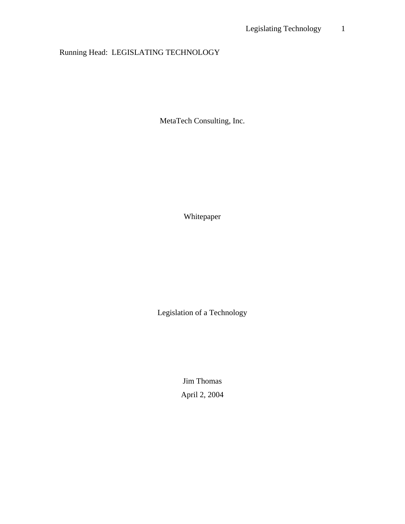# Running Head: LEGISLATING TECHNOLOGY

MetaTech Consulting, Inc.

Whitepaper

Legislation of a Technology

Jim Thomas April 2, 2004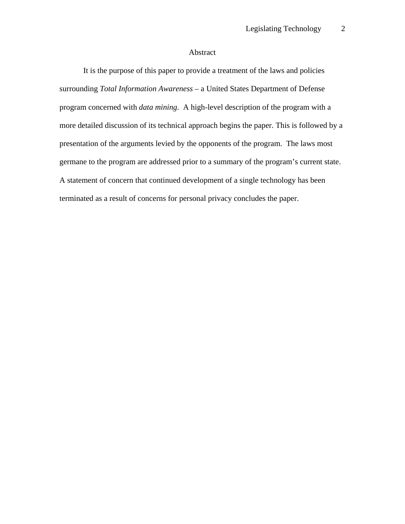# Abstract

It is the purpose of this paper to provide a treatment of the laws and policies surrounding *Total Information Awareness* – a United States Department of Defense program concerned with *data mining*. A high-level description of the program with a more detailed discussion of its technical approach begins the paper. This is followed by a presentation of the arguments levied by the opponents of the program. The laws most germane to the program are addressed prior to a summary of the program's current state. A statement of concern that continued development of a single technology has been terminated as a result of concerns for personal privacy concludes the paper.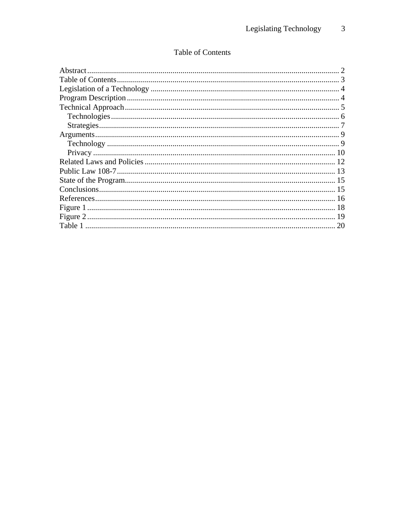# Table of Contents

| 20 |
|----|
|    |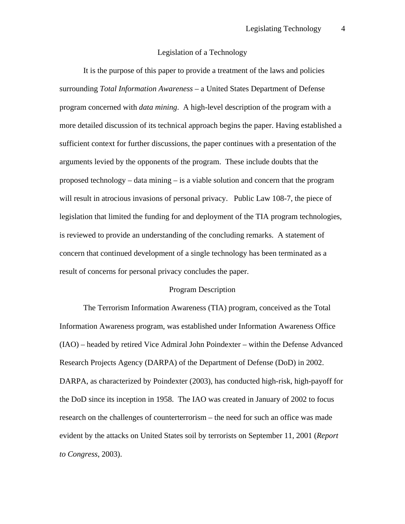# Legislation of a Technology

It is the purpose of this paper to provide a treatment of the laws and policies surrounding *Total Information Awareness* – a United States Department of Defense program concerned with *data mining*. A high-level description of the program with a more detailed discussion of its technical approach begins the paper. Having established a sufficient context for further discussions, the paper continues with a presentation of the arguments levied by the opponents of the program. These include doubts that the proposed technology – data mining – is a viable solution and concern that the program will result in atrocious invasions of personal privacy. Public Law 108-7, the piece of legislation that limited the funding for and deployment of the TIA program technologies, is reviewed to provide an understanding of the concluding remarks. A statement of concern that continued development of a single technology has been terminated as a result of concerns for personal privacy concludes the paper.

#### Program Description

The Terrorism Information Awareness (TIA) program, conceived as the Total Information Awareness program, was established under Information Awareness Office (IAO) – headed by retired Vice Admiral John Poindexter – within the Defense Advanced Research Projects Agency (DARPA) of the Department of Defense (DoD) in 2002. DARPA, as characterized by Poindexter (2003), has conducted high-risk, high-payoff for the DoD since its inception in 1958. The IAO was created in January of 2002 to focus research on the challenges of counterterrorism – the need for such an office was made evident by the attacks on United States soil by terrorists on September 11, 2001 (*Report to Congress*, 2003).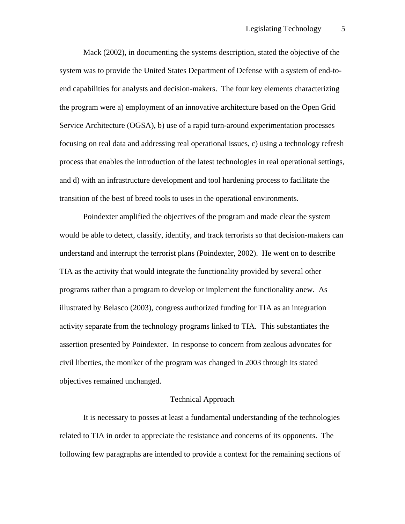Mack (2002), in documenting the systems description, stated the objective of the system was to provide the United States Department of Defense with a system of end-toend capabilities for analysts and decision-makers. The four key elements characterizing the program were a) employment of an innovative architecture based on the Open Grid Service Architecture (OGSA), b) use of a rapid turn-around experimentation processes focusing on real data and addressing real operational issues, c) using a technology refresh process that enables the introduction of the latest technologies in real operational settings, and d) with an infrastructure development and tool hardening process to facilitate the transition of the best of breed tools to uses in the operational environments.

Poindexter amplified the objectives of the program and made clear the system would be able to detect, classify, identify, and track terrorists so that decision-makers can understand and interrupt the terrorist plans (Poindexter, 2002). He went on to describe TIA as the activity that would integrate the functionality provided by several other programs rather than a program to develop or implement the functionality anew. As illustrated by Belasco (2003), congress authorized funding for TIA as an integration activity separate from the technology programs linked to TIA. This substantiates the assertion presented by Poindexter. In response to concern from zealous advocates for civil liberties, the moniker of the program was changed in 2003 through its stated objectives remained unchanged.

### Technical Approach

It is necessary to posses at least a fundamental understanding of the technologies related to TIA in order to appreciate the resistance and concerns of its opponents. The following few paragraphs are intended to provide a context for the remaining sections of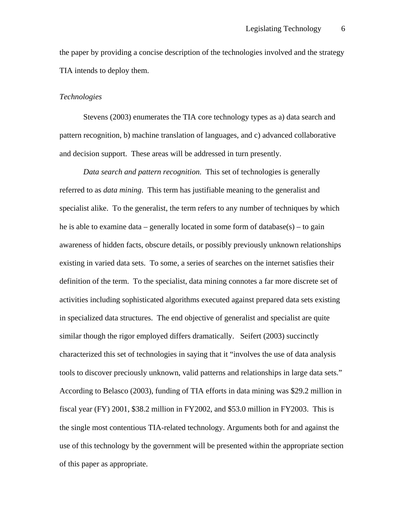the paper by providing a concise description of the technologies involved and the strategy TIA intends to deploy them.

### *Technologies*

Stevens (2003) enumerates the TIA core technology types as a) data search and pattern recognition, b) machine translation of languages, and c) advanced collaborative and decision support. These areas will be addressed in turn presently.

*Data search and pattern recognition.* This set of technologies is generally referred to as *data mining*. This term has justifiable meaning to the generalist and specialist alike. To the generalist, the term refers to any number of techniques by which he is able to examine data – generally located in some form of database( $s$ ) – to gain awareness of hidden facts, obscure details, or possibly previously unknown relationships existing in varied data sets. To some, a series of searches on the internet satisfies their definition of the term. To the specialist, data mining connotes a far more discrete set of activities including sophisticated algorithms executed against prepared data sets existing in specialized data structures. The end objective of generalist and specialist are quite similar though the rigor employed differs dramatically. Seifert (2003) succinctly characterized this set of technologies in saying that it "involves the use of data analysis tools to discover preciously unknown, valid patterns and relationships in large data sets." According to Belasco (2003), funding of TIA efforts in data mining was \$29.2 million in fiscal year (FY) 2001, \$38.2 million in FY2002, and \$53.0 million in FY2003. This is the single most contentious TIA-related technology. Arguments both for and against the use of this technology by the government will be presented within the appropriate section of this paper as appropriate.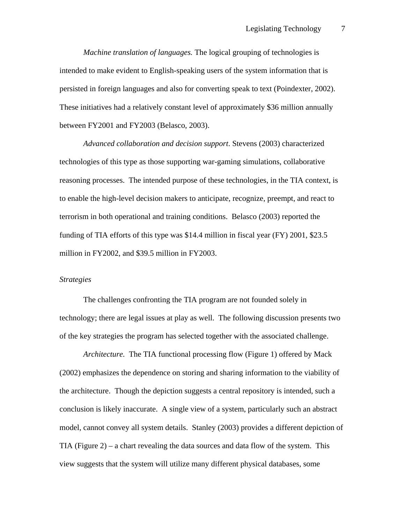*Machine translation of languages.* The logical grouping of technologies is intended to make evident to English-speaking users of the system information that is persisted in foreign languages and also for converting speak to text (Poindexter, 2002). These initiatives had a relatively constant level of approximately \$36 million annually between FY2001 and FY2003 (Belasco, 2003).

*Advanced collaboration and decision support*. Stevens (2003) characterized technologies of this type as those supporting war-gaming simulations, collaborative reasoning processes. The intended purpose of these technologies, in the TIA context, is to enable the high-level decision makers to anticipate, recognize, preempt, and react to terrorism in both operational and training conditions. Belasco (2003) reported the funding of TIA efforts of this type was \$14.4 million in fiscal year (FY) 2001, \$23.5 million in FY2002, and \$39.5 million in FY2003.

#### *Strategies*

The challenges confronting the TIA program are not founded solely in technology; there are legal issues at play as well. The following discussion presents two of the key strategies the program has selected together with the associated challenge.

*Architecture.* The TIA functional processing flow (Figure 1) offered by Mack (2002) emphasizes the dependence on storing and sharing information to the viability of the architecture. Though the depiction suggests a central repository is intended, such a conclusion is likely inaccurate. A single view of a system, particularly such an abstract model, cannot convey all system details. Stanley (2003) provides a different depiction of TIA (Figure 2) – a chart revealing the data sources and data flow of the system. This view suggests that the system will utilize many different physical databases, some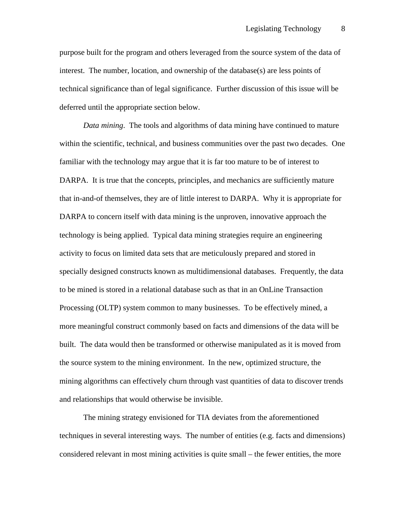purpose built for the program and others leveraged from the source system of the data of interest. The number, location, and ownership of the database(s) are less points of technical significance than of legal significance. Further discussion of this issue will be deferred until the appropriate section below.

*Data mining*. The tools and algorithms of data mining have continued to mature within the scientific, technical, and business communities over the past two decades. One familiar with the technology may argue that it is far too mature to be of interest to DARPA. It is true that the concepts, principles, and mechanics are sufficiently mature that in-and-of themselves, they are of little interest to DARPA. Why it is appropriate for DARPA to concern itself with data mining is the unproven, innovative approach the technology is being applied. Typical data mining strategies require an engineering activity to focus on limited data sets that are meticulously prepared and stored in specially designed constructs known as multidimensional databases. Frequently, the data to be mined is stored in a relational database such as that in an OnLine Transaction Processing (OLTP) system common to many businesses. To be effectively mined, a more meaningful construct commonly based on facts and dimensions of the data will be built. The data would then be transformed or otherwise manipulated as it is moved from the source system to the mining environment. In the new, optimized structure, the mining algorithms can effectively churn through vast quantities of data to discover trends and relationships that would otherwise be invisible.

The mining strategy envisioned for TIA deviates from the aforementioned techniques in several interesting ways. The number of entities (e.g. facts and dimensions) considered relevant in most mining activities is quite small – the fewer entities, the more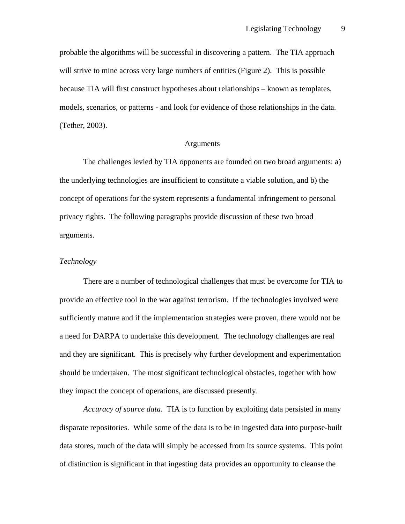probable the algorithms will be successful in discovering a pattern. The TIA approach will strive to mine across very large numbers of entities (Figure 2). This is possible because TIA will first construct hypotheses about relationships – known as templates, models, scenarios, or patterns - and look for evidence of those relationships in the data. (Tether, 2003).

# Arguments

The challenges levied by TIA opponents are founded on two broad arguments: a) the underlying technologies are insufficient to constitute a viable solution, and b) the concept of operations for the system represents a fundamental infringement to personal privacy rights. The following paragraphs provide discussion of these two broad arguments.

# *Technology*

There are a number of technological challenges that must be overcome for TIA to provide an effective tool in the war against terrorism. If the technologies involved were sufficiently mature and if the implementation strategies were proven, there would not be a need for DARPA to undertake this development. The technology challenges are real and they are significant. This is precisely why further development and experimentation should be undertaken. The most significant technological obstacles, together with how they impact the concept of operations, are discussed presently.

*Accuracy of source data*. TIA is to function by exploiting data persisted in many disparate repositories. While some of the data is to be in ingested data into purpose-built data stores, much of the data will simply be accessed from its source systems. This point of distinction is significant in that ingesting data provides an opportunity to cleanse the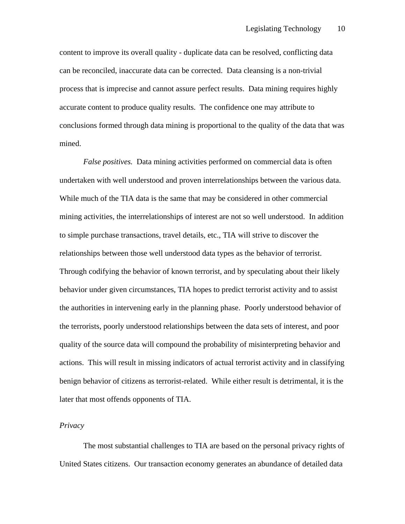content to improve its overall quality - duplicate data can be resolved, conflicting data can be reconciled, inaccurate data can be corrected. Data cleansing is a non-trivial process that is imprecise and cannot assure perfect results. Data mining requires highly accurate content to produce quality results. The confidence one may attribute to conclusions formed through data mining is proportional to the quality of the data that was mined.

*False positives.* Data mining activities performed on commercial data is often undertaken with well understood and proven interrelationships between the various data. While much of the TIA data is the same that may be considered in other commercial mining activities, the interrelationships of interest are not so well understood. In addition to simple purchase transactions, travel details, etc., TIA will strive to discover the relationships between those well understood data types as the behavior of terrorist. Through codifying the behavior of known terrorist, and by speculating about their likely behavior under given circumstances, TIA hopes to predict terrorist activity and to assist the authorities in intervening early in the planning phase. Poorly understood behavior of the terrorists, poorly understood relationships between the data sets of interest, and poor quality of the source data will compound the probability of misinterpreting behavior and actions. This will result in missing indicators of actual terrorist activity and in classifying benign behavior of citizens as terrorist-related. While either result is detrimental, it is the later that most offends opponents of TIA.

# *Privacy*

The most substantial challenges to TIA are based on the personal privacy rights of United States citizens. Our transaction economy generates an abundance of detailed data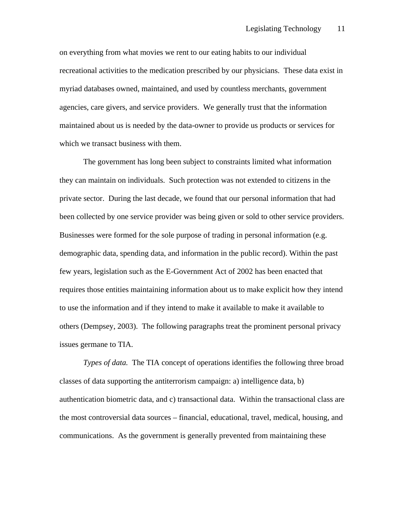on everything from what movies we rent to our eating habits to our individual recreational activities to the medication prescribed by our physicians. These data exist in myriad databases owned, maintained, and used by countless merchants, government agencies, care givers, and service providers. We generally trust that the information maintained about us is needed by the data-owner to provide us products or services for which we transact business with them.

The government has long been subject to constraints limited what information they can maintain on individuals. Such protection was not extended to citizens in the private sector. During the last decade, we found that our personal information that had been collected by one service provider was being given or sold to other service providers. Businesses were formed for the sole purpose of trading in personal information (e.g. demographic data, spending data, and information in the public record). Within the past few years, legislation such as the E-Government Act of 2002 has been enacted that requires those entities maintaining information about us to make explicit how they intend to use the information and if they intend to make it available to make it available to others (Dempsey, 2003). The following paragraphs treat the prominent personal privacy issues germane to TIA.

*Types of data.* The TIA concept of operations identifies the following three broad classes of data supporting the antiterrorism campaign: a) intelligence data, b) authentication biometric data, and c) transactional data. Within the transactional class are the most controversial data sources – financial, educational, travel, medical, housing, and communications. As the government is generally prevented from maintaining these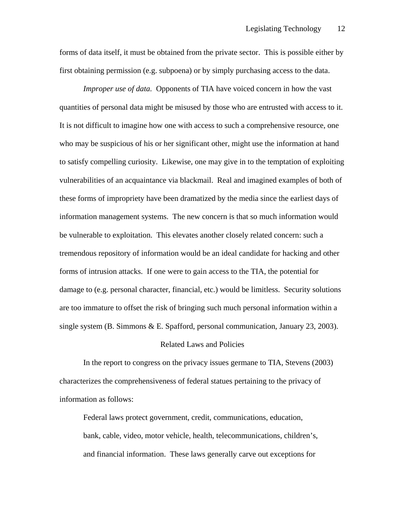forms of data itself, it must be obtained from the private sector. This is possible either by first obtaining permission (e.g. subpoena) or by simply purchasing access to the data.

*Improper use of data.* Opponents of TIA have voiced concern in how the vast quantities of personal data might be misused by those who are entrusted with access to it. It is not difficult to imagine how one with access to such a comprehensive resource, one who may be suspicious of his or her significant other, might use the information at hand to satisfy compelling curiosity. Likewise, one may give in to the temptation of exploiting vulnerabilities of an acquaintance via blackmail. Real and imagined examples of both of these forms of impropriety have been dramatized by the media since the earliest days of information management systems. The new concern is that so much information would be vulnerable to exploitation. This elevates another closely related concern: such a tremendous repository of information would be an ideal candidate for hacking and other forms of intrusion attacks. If one were to gain access to the TIA, the potential for damage to (e.g. personal character, financial, etc.) would be limitless. Security solutions are too immature to offset the risk of bringing such much personal information within a single system  $(B.$  Simmons & E. Spafford, personal communication, January 23, 2003).

#### Related Laws and Policies

In the report to congress on the privacy issues germane to TIA, Stevens (2003) characterizes the comprehensiveness of federal statues pertaining to the privacy of information as follows:

Federal laws protect government, credit, communications, education, bank, cable, video, motor vehicle, health, telecommunications, children's, and financial information. These laws generally carve out exceptions for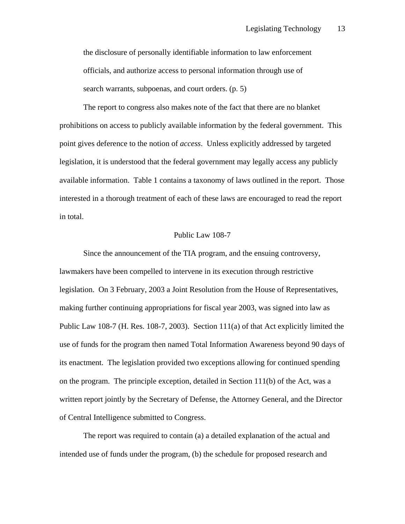the disclosure of personally identifiable information to law enforcement officials, and authorize access to personal information through use of search warrants, subpoenas, and court orders. (p. 5)

The report to congress also makes note of the fact that there are no blanket prohibitions on access to publicly available information by the federal government. This point gives deference to the notion of *access*. Unless explicitly addressed by targeted legislation, it is understood that the federal government may legally access any publicly available information. Table 1 contains a taxonomy of laws outlined in the report. Those interested in a thorough treatment of each of these laws are encouraged to read the report in total.

#### Public Law 108-7

Since the announcement of the TIA program, and the ensuing controversy, lawmakers have been compelled to intervene in its execution through restrictive legislation. On 3 February, 2003 a Joint Resolution from the House of Representatives, making further continuing appropriations for fiscal year 2003, was signed into law as Public Law 108-7 (H. Res. 108-7, 2003). Section 111(a) of that Act explicitly limited the use of funds for the program then named Total Information Awareness beyond 90 days of its enactment. The legislation provided two exceptions allowing for continued spending on the program. The principle exception, detailed in Section 111(b) of the Act, was a written report jointly by the Secretary of Defense, the Attorney General, and the Director of Central Intelligence submitted to Congress.

The report was required to contain (a) a detailed explanation of the actual and intended use of funds under the program, (b) the schedule for proposed research and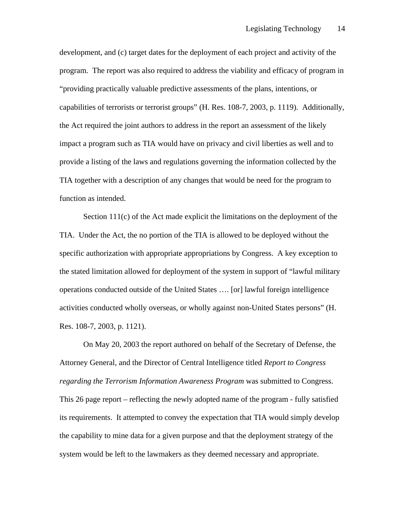development, and (c) target dates for the deployment of each project and activity of the program. The report was also required to address the viability and efficacy of program in "providing practically valuable predictive assessments of the plans, intentions, or capabilities of terrorists or terrorist groups" (H. Res. 108-7, 2003, p. 1119). Additionally, the Act required the joint authors to address in the report an assessment of the likely impact a program such as TIA would have on privacy and civil liberties as well and to provide a listing of the laws and regulations governing the information collected by the TIA together with a description of any changes that would be need for the program to function as intended.

Section 111(c) of the Act made explicit the limitations on the deployment of the TIA. Under the Act, the no portion of the TIA is allowed to be deployed without the specific authorization with appropriate appropriations by Congress. A key exception to the stated limitation allowed for deployment of the system in support of "lawful military operations conducted outside of the United States …. [or] lawful foreign intelligence activities conducted wholly overseas, or wholly against non-United States persons" (H. Res. 108-7, 2003, p. 1121).

On May 20, 2003 the report authored on behalf of the Secretary of Defense, the Attorney General, and the Director of Central Intelligence titled *Report to Congress regarding the Terrorism Information Awareness Program* was submitted to Congress. This 26 page report – reflecting the newly adopted name of the program - fully satisfied its requirements. It attempted to convey the expectation that TIA would simply develop the capability to mine data for a given purpose and that the deployment strategy of the system would be left to the lawmakers as they deemed necessary and appropriate.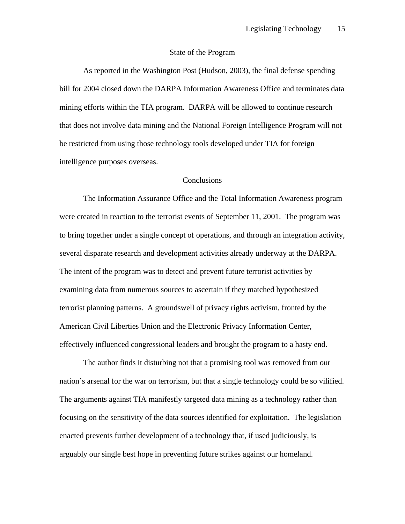### State of the Program

As reported in the Washington Post (Hudson, 2003), the final defense spending bill for 2004 closed down the DARPA Information Awareness Office and terminates data mining efforts within the TIA program. DARPA will be allowed to continue research that does not involve data mining and the National Foreign Intelligence Program will not be restricted from using those technology tools developed under TIA for foreign intelligence purposes overseas.

## **Conclusions**

The Information Assurance Office and the Total Information Awareness program were created in reaction to the terrorist events of September 11, 2001. The program was to bring together under a single concept of operations, and through an integration activity, several disparate research and development activities already underway at the DARPA. The intent of the program was to detect and prevent future terrorist activities by examining data from numerous sources to ascertain if they matched hypothesized terrorist planning patterns. A groundswell of privacy rights activism, fronted by the American Civil Liberties Union and the Electronic Privacy Information Center, effectively influenced congressional leaders and brought the program to a hasty end.

The author finds it disturbing not that a promising tool was removed from our nation's arsenal for the war on terrorism, but that a single technology could be so vilified. The arguments against TIA manifestly targeted data mining as a technology rather than focusing on the sensitivity of the data sources identified for exploitation. The legislation enacted prevents further development of a technology that, if used judiciously, is arguably our single best hope in preventing future strikes against our homeland.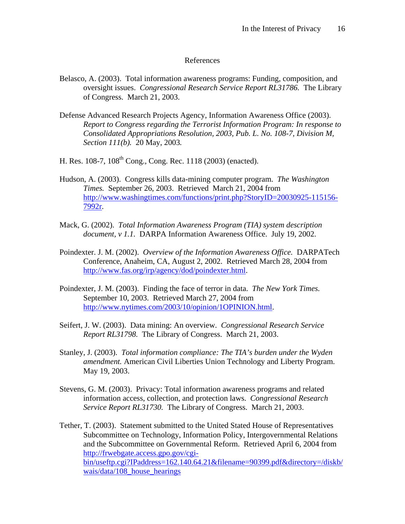### References

- Belasco, A. (2003). Total information awareness programs: Funding, composition, and oversight issues. *Congressional Research Service Report RL31786.* The Library of Congress. March 21, 2003.
- Defense Advanced Research Projects Agency, Information Awareness Office (2003). *Report to Congress regarding the Terrorist Information Program: In response to Consolidated Appropriations Resolution, 2003, Pub. L. No. 108-7, Division M, Section 111(b).* 20 May, 2003*.*
- H. Res. 108-7,  $108^{th}$  Cong., Cong. Rec. 1118 (2003) (enacted).
- Hudson, A. (2003). Congress kills data-mining computer program. *The Washington Times.* September 26, 2003. Retrieved March 21, 2004 from http://www.washingtimes.com/functions/print.php?StoryID=20030925-115156- 7992r.
- Mack, G. (2002). *Total Information Awareness Program (TIA) system description document, v 1.1.* DARPA Information Awareness Office. July 19, 2002.
- Poindexter. J. M. (2002). *Overview of the Information Awareness Office.* DARPATech Conference, Anaheim, CA, August 2, 2002. Retrieved March 28, 2004 from http://www.fas.org/irp/agency/dod/poindexter.html.
- Poindexter, J. M. (2003). Finding the face of terror in data. *The New York Times.*  September 10, 2003. Retrieved March 27, 2004 from http://www.nytimes.com/2003/10/opinion/1OPINION.html.
- Seifert, J. W. (2003). Data mining: An overview. *Congressional Research Service Report RL31798.* The Library of Congress. March 21, 2003.
- Stanley, J. (2003). *Total information compliance: The TIA's burden under the Wyden amendment.* American Civil Liberties Union Technology and Liberty Program. May 19, 2003.
- Stevens, G. M. (2003). Privacy: Total information awareness programs and related information access, collection, and protection laws. *Congressional Research Service Report RL31730.* The Library of Congress. March 21, 2003.
- Tether, T. (2003). Statement submitted to the United Stated House of Representatives Subcommittee on Technology, Information Policy, Intergovernmental Relations and the Subcommittee on Governmental Reform. Retrieved April 6, 2004 from http://frwebgate.access.gpo.gov/cgibin/useftp.cgi?IPaddress=162.140.64.21&filename=90399.pdf&directory=/diskb/ wais/data/108 house hearings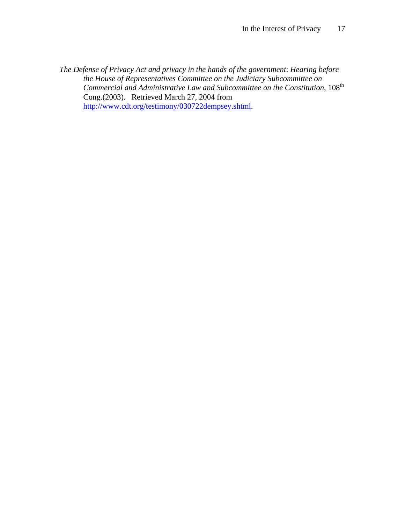*The Defense of Privacy Act and privacy in the hands of the government*: *Hearing before the House of Representatives Committee on the Judiciary Subcommittee on Commercial and Administrative Law and Subcommittee on the Constitution*, 108th Cong.(2003). Retrieved March 27, 2004 from http://www.cdt.org/testimony/030722dempsey.shtml.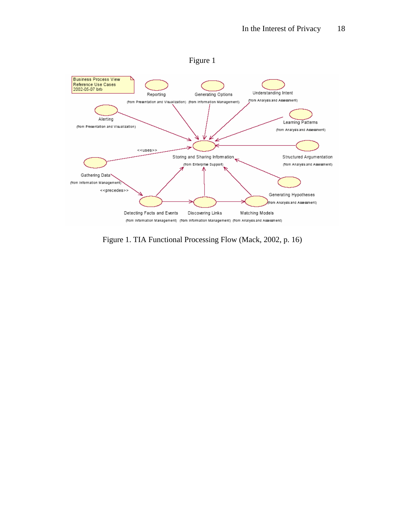

Figure 1. TIA Functional Processing Flow (Mack, 2002, p. 16)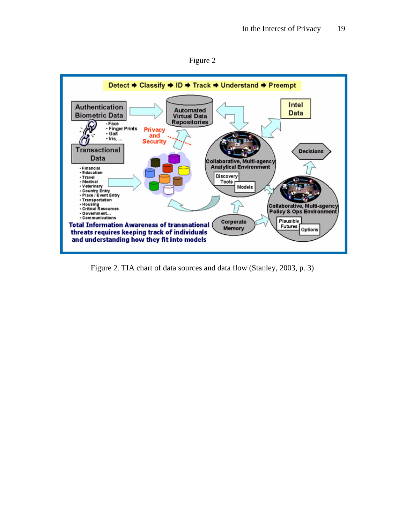



Figure 2. TIA chart of data sources and data flow (Stanley, 2003, p. 3)